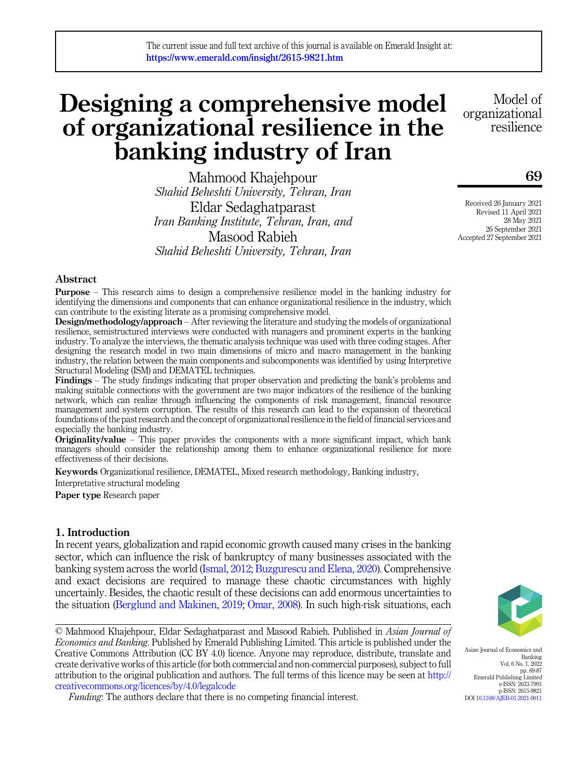# Designing a comprehensive model of organizational resilience in the banking industry of Iran

Mahmood Khajehpour Shahid Beheshti University, Tehran, Iran Eldar Sedaghatparast Iran Banking Institute, Tehran, Iran, and Masood Rabieh Shahid Beheshti University, Tehran, Iran

Model of organizational resilience

69

Received 26 January 2021 Revised 11 April 2021 28 May 2021 26 September 2021 Accepted 27 September 2021

## Abstract

Purpose – This research aims to design a comprehensive resilience model in the banking industry for identifying the dimensions and components that can enhance organizational resilience in the industry, which can contribute to the existing literate as a promising comprehensive model.

Design/methodology/approach – After reviewing the literature and studying the models of organizational resilience, semistructured interviews were conducted with managers and prominent experts in the banking industry. To analyze the interviews, the thematic analysis technique was used with three coding stages. After designing the research model in two main dimensions of micro and macro management in the banking industry, the relation between the main components and subcomponents was identified by using Interpretive Structural Modeling (ISM) and DEMATEL techniques.

Findings – The study findings indicating that proper observation and predicting the bank's problems and making suitable connections with the government are two major indicators of the resilience of the banking network, which can realize through influencing the components of risk management, financial resource management and system corruption. The results of this research can lead to the expansion of theoretical foundations of the past research and the concept of organizational resilience in the field of financial services and especially the banking industry.

Originality/value – This paper provides the components with a more significant impact, which bank managers should consider the relationship among them to enhance organizational resilience for more effectiveness of their decisions.

Keywords Organizational resilience, DEMATEL, Mixed research methodology, Banking industry,

Interpretative structural modeling

Paper type Research paper

## 1. Introduction

In recent years, globalization and rapid economic growth caused many crises in the banking sector, which can influence the risk of bankruptcy of many businesses associated with the banking system across the world ([Ismal, 2012](#page-15-0); [Buzgurescu and Elena, 2020](#page-14-0)). Comprehensive and exact decisions are required to manage these chaotic circumstances with highly uncertainly. Besides, the chaotic result of these decisions can add enormous uncertainties to the situation [\(Berglund and Makinen, 2019;](#page-14-1) [Omar, 2008](#page-15-1)). In such high-risk situations, each

© Mahmood Khajehpour, Eldar Sedaghatparast and Masood Rabieh. Published in Asian Journal of Economics and Banking. Published by Emerald Publishing Limited. This article is published under the Creative Commons Attribution (CC BY 4.0) licence. Anyone may reproduce, distribute, translate and create derivative works of this article (for both commercial and non-commercial purposes), subject to full attribution to the original publication and authors. The full terms of this licence may be seen at [http://](http://creativecommons.org/licences/by/4.0/legalcode) [creativecommons.org/licences/by/4.0/legalcode](http://creativecommons.org/licences/by/4.0/legalcode)



Asian Journal of Economics and Banking Vol. 6 No. 1, 2022 pp. 69-87 Emerald Publishing Limited e-ISSN: 2633-7991 p-ISSN: 2615-9821 DOI [10.1108/AJEB-01-2021-0011](https://doi.org/10.1108/AJEB-01-2021-0011)

Funding: The authors declare that there is no competing financial interest.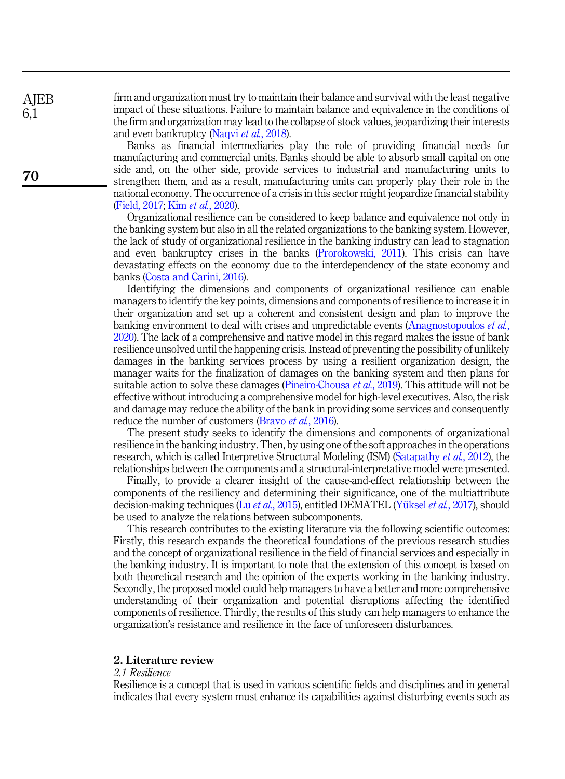firm and organization must try to maintain their balance and survival with the least negative impact of these situations. Failure to maintain balance and equivalence in the conditions of the firm and organization may lead to the collapse of stock values, jeopardizing their interests and even bankruptcy [\(Naqvi](#page-15-2) et al., 2018).

Banks as financial intermediaries play the role of providing financial needs for manufacturing and commercial units. Banks should be able to absorb small capital on one side and, on the other side, provide services to industrial and manufacturing units to strengthen them, and as a result, manufacturing units can properly play their role in the national economy. The occurrence of a crisis in this sector might jeopardize financial stability ([Field, 2017;](#page-14-2) Kim et al.[, 2020\)](#page-15-3).

Organizational resilience can be considered to keep balance and equivalence not only in the banking system but also in all the related organizations to the banking system. However, the lack of study of organizational resilience in the banking industry can lead to stagnation and even bankruptcy crises in the banks ([Prorokowski, 2011](#page-15-4)). This crisis can have devastating effects on the economy due to the interdependency of the state economy and banks [\(Costa and Carini, 2016\)](#page-14-3).

Identifying the dimensions and components of organizational resilience can enable managers to identify the key points, dimensions and components of resilience to increase it in their organization and set up a coherent and consistent design and plan to improve the banking environment to deal with crises and unpredictable events [\(Anagnostopoulos](#page-14-4) et al., [2020\)](#page-14-4). The lack of a comprehensive and native model in this regard makes the issue of bank resilience unsolved until the happening crisis. Instead of preventing the possibility of unlikely damages in the banking services process by using a resilient organization design, the manager waits for the finalization of damages on the banking system and then plans for suitable action to solve these damages ([Pineiro-Chousa](#page-15-5) *et al.*, 2019). This attitude will not be effective without introducing a comprehensive model for high-level executives. Also, the risk and damage may reduce the ability of the bank in providing some services and consequently reduce the number of customers [\(Bravo](#page-14-5) et al., 2016).

The present study seeks to identify the dimensions and components of organizational resilience in the banking industry. Then, by using one of the soft approaches in the operations research, which is called Interpretive Structural Modeling (ISM) ([Satapathy](#page-15-6) *et al.*, 2012), the relationships between the components and a structural-interpretative model were presented.

Finally, to provide a clearer insight of the cause-and-effect relationship between the components of the resiliency and determining their significance, one of the multiattribute decision-making techniques (Lu et al.[, 2015\)](#page-15-7), entitled DEMATEL ([Y](#page-15-8)üksel et al.[, 2017](#page-15-8)), should be used to analyze the relations between subcomponents.

This research contributes to the existing literature via the following scientific outcomes: Firstly, this research expands the theoretical foundations of the previous research studies and the concept of organizational resilience in the field of financial services and especially in the banking industry. It is important to note that the extension of this concept is based on both theoretical research and the opinion of the experts working in the banking industry. Secondly, the proposed model could help managers to have a better and more comprehensive understanding of their organization and potential disruptions affecting the identified components of resilience. Thirdly, the results of this study can help managers to enhance the organization's resistance and resilience in the face of unforeseen disturbances.

## 2. Literature review

### 2.1 Resilience

Resilience is a concept that is used in various scientific fields and disciplines and in general indicates that every system must enhance its capabilities against disturbing events such as

70

**AIEB** 6,1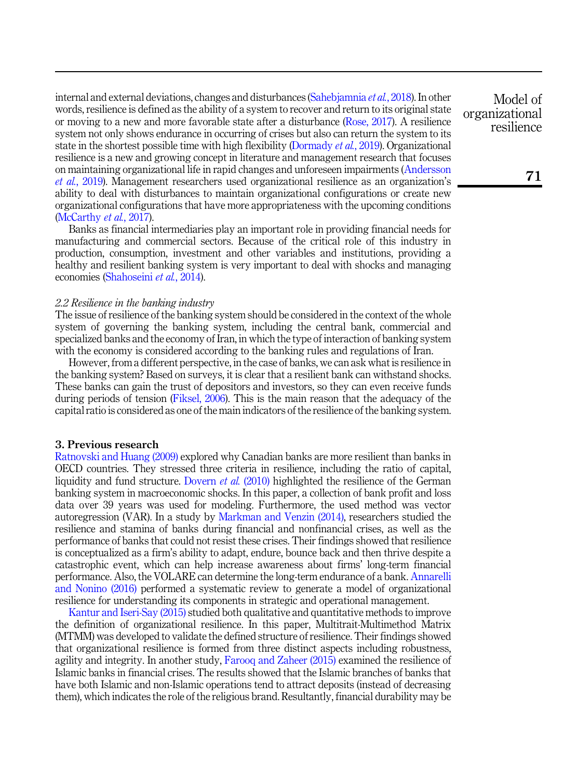internal and external deviations, changes and disturbances [\(Sahebjamnia](#page-15-9) et al., 2018). In other words, resilience is defined as the ability of a system to recover and return to its original state or moving to a new and more favorable state after a disturbance ([Rose, 2017](#page-15-10)). A resilience system not only shows endurance in occurring of crises but also can return the system to its state in the shortest possible time with high flexibility [\(Dormady](#page-14-6) *et al.*, 2019). Organizational resilience is a new and growing concept in literature and management research that focuses on maintaining organizational life in rapid changes and unforeseen impairments ([Andersson](#page-14-7) et al.[, 2019\)](#page-14-7). Management researchers used organizational resilience as an organization's ability to deal with disturbances to maintain organizational configurations or create new organizational configurations that have more appropriateness with the upcoming conditions ([McCarthy](#page-15-11) et al., 2017).

Banks as financial intermediaries play an important role in providing financial needs for manufacturing and commercial sectors. Because of the critical role of this industry in production, consumption, investment and other variables and institutions, providing a healthy and resilient banking system is very important to deal with shocks and managing economies [\(Shahoseini](#page-15-12) et al., 2014).

#### 2.2 Resilience in the banking industry

The issue of resilience of the banking system should be considered in the context of the whole system of governing the banking system, including the central bank, commercial and specialized banks and the economy of Iran, in which the type of interaction of banking system with the economy is considered according to the banking rules and regulations of Iran.

However, from a different perspective, in the case of banks, we can ask what is resilience in the banking system? Based on surveys, it is clear that a resilient bank can withstand shocks. These banks can gain the trust of depositors and investors, so they can even receive funds during periods of tension [\(Fiksel, 2006\)](#page-14-8). This is the main reason that the adequacy of the capital ratio is considered as one of the main indicators of the resilience of the banking system.

## 3. Previous research

[Ratnovski and Huang \(2009\)](#page-15-13) explored why Canadian banks are more resilient than banks in OECD countries. They stressed three criteria in resilience, including the ratio of capital, liquidity and fund structure. [Dovern](#page-14-9) et al. (2010) highlighted the resilience of the German banking system in macroeconomic shocks. In this paper, a collection of bank profit and loss data over 39 years was used for modeling. Furthermore, the used method was vector autoregression (VAR). In a study by [Markman and Venzin \(2014\)](#page-15-14), researchers studied the resilience and stamina of banks during financial and nonfinancial crises, as well as the performance of banks that could not resist these crises. Their findings showed that resilience is conceptualized as a firm's ability to adapt, endure, bounce back and then thrive despite a catastrophic event, which can help increase awareness about firms' long-term financial performance. Also, the VOLARE can determine the long-term endurance of a bank. [Annarelli](#page-14-10) [and Nonino \(2016\)](#page-14-10) performed a systematic review to generate a model of organizational resilience for understanding its components in strategic and operational management.

[Kantur and Iseri-Say \(2015\)](#page-15-15) studied both qualitative and quantitative methods to improve the definition of organizational resilience. In this paper, Multitrait-Multimethod Matrix (MTMM) was developed to validate the defined structure of resilience. Their findings showed that organizational resilience is formed from three distinct aspects including robustness, agility and integrity. In another study, [Farooq and Zaheer \(2015\)](#page-14-11) examined the resilience of Islamic banks in financial crises. The results showed that the Islamic branches of banks that have both Islamic and non-Islamic operations tend to attract deposits (instead of decreasing them), which indicates the role of the religious brand. Resultantly, financial durability may be

Model of organizational resilience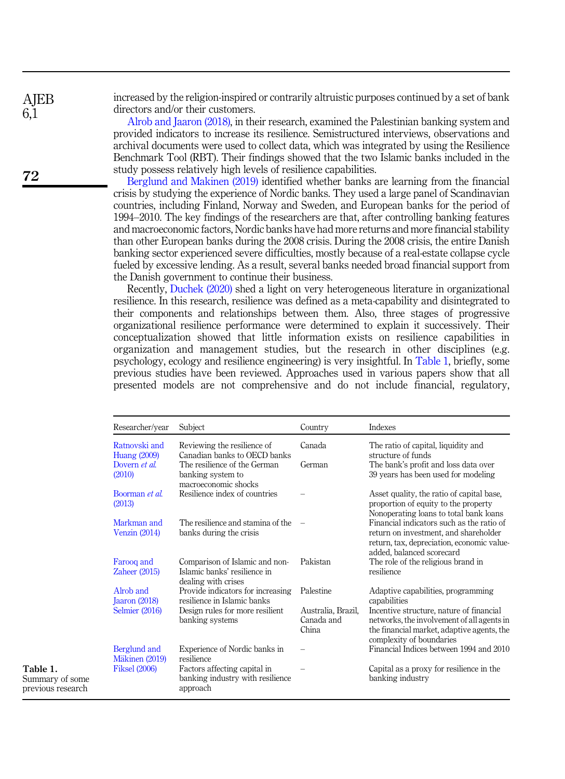increased by the religion-inspired or contrarily altruistic purposes continued by a set of bank directors and/or their customers.

[Alrob and Jaaron \(2018\)](#page-14-12), in their research, examined the Palestinian banking system and provided indicators to increase its resilience. Semistructured interviews, observations and archival documents were used to collect data, which was integrated by using the Resilience Benchmark Tool (RBT). Their findings showed that the two Islamic banks included in the study possess relatively high levels of resilience capabilities.

[Berglund and Makinen \(2019\)](#page-14-1) identified whether banks are learning from the financial crisis by studying the experience of Nordic banks. They used a large panel of Scandinavian countries, including Finland, Norway and Sweden, and European banks for the period of 1994–2010. The key findings of the researchers are that, after controlling banking features and macroeconomic factors, Nordic banks have had more returns and more financial stability than other European banks during the 2008 crisis. During the 2008 crisis, the entire Danish banking sector experienced severe difficulties, mostly because of a real-estate collapse cycle fueled by excessive lending. As a result, several banks needed broad financial support from the Danish government to continue their business.

Recently, [Duchek \(2020\)](#page-14-13) shed a light on very heterogeneous literature in organizational resilience. In this research, resilience was defined as a meta-capability and disintegrated to their components and relationships between them. Also, three stages of progressive organizational resilience performance were determined to explain it successively. Their conceptualization showed that little information exists on resilience capabilities in organization and management studies, but the research in other disciplines (e.g. psychology, ecology and resilience engineering) is very insightful. In Table 1, briefly, some previous studies have been reviewed. Approaches used in various papers show that all presented models are not comprehensive and do not include financial, regulatory,

| Researcher/vear                      | Subject                                                                               | Country                                   | <b>Indexes</b>                                                                                                                                                   |
|--------------------------------------|---------------------------------------------------------------------------------------|-------------------------------------------|------------------------------------------------------------------------------------------------------------------------------------------------------------------|
| Ratnovski and<br><b>Huang (2009)</b> | Reviewing the resilience of<br>Canadian banks to OECD banks                           | Canada                                    | The ratio of capital, liquidity and<br>structure of funds                                                                                                        |
| Dovern et al.<br>(2010)              | The resilience of the German<br>banking system to<br>macroeconomic shocks             | German                                    | The bank's profit and loss data over<br>39 years has been used for modeling                                                                                      |
| Boorman et al.<br>(2013)             | Resilience index of countries                                                         |                                           | Asset quality, the ratio of capital base,<br>proportion of equity to the property<br>Nonoperating loans to total bank loans                                      |
| Markman and<br>Venzin (2014)         | The resilience and stamina of the<br>banks during the crisis                          |                                           | Financial indicators such as the ratio of<br>return on investment, and shareholder<br>return, tax, depreciation, economic value-<br>added, balanced scorecard    |
| Farooq and<br>Zaheer $(2015)$        | Comparison of Islamic and non-<br>Islamic banks' resilience in<br>dealing with crises | Pakistan                                  | The role of the religious brand in<br>resilience                                                                                                                 |
| Alrob and<br>Jaaron $(2018)$         | Provide indicators for increasing<br>resilience in Islamic banks                      | Palestine                                 | Adaptive capabilities, programming<br>capabilities                                                                                                               |
| Selmier (2016)                       | Design rules for more resilient<br>banking systems                                    | Australia, Brazil,<br>Canada and<br>China | Incentive structure, nature of financial<br>networks, the involvement of all agents in<br>the financial market, adaptive agents, the<br>complexity of boundaries |
| Berglund and<br>Mäkinen (2019)       | Experience of Nordic banks in<br>resilience                                           |                                           | Financial Indices between 1994 and 2010                                                                                                                          |
| <b>Fiksel</b> (2006)                 | Factors affecting capital in<br>banking industry with resilience<br>approach          |                                           | Capital as a proxy for resilience in the<br>banking industry                                                                                                     |

72

**AIEB** 6,1

Table 1. Summary of some previous research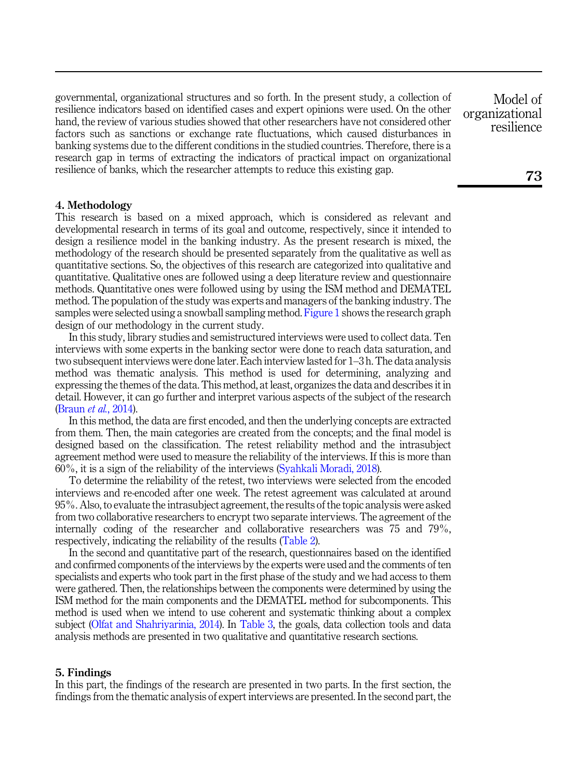governmental, organizational structures and so forth. In the present study, a collection of resilience indicators based on identified cases and expert opinions were used. On the other hand, the review of various studies showed that other researchers have not considered other factors such as sanctions or exchange rate fluctuations, which caused disturbances in banking systems due to the different conditions in the studied countries. Therefore, there is a research gap in terms of extracting the indicators of practical impact on organizational resilience of banks, which the researcher attempts to reduce this existing gap.

### 4. Methodology

This research is based on a mixed approach, which is considered as relevant and developmental research in terms of its goal and outcome, respectively, since it intended to design a resilience model in the banking industry. As the present research is mixed, the methodology of the research should be presented separately from the qualitative as well as quantitative sections. So, the objectives of this research are categorized into qualitative and quantitative. Qualitative ones are followed using a deep literature review and questionnaire methods. Quantitative ones were followed using by using the ISM method and DEMATEL method. The population of the study was experts and managers of the banking industry. The samples were selected using a snowball sampling method. [Figure 1](#page-5-0) shows the research graph design of our methodology in the current study.

In this study, library studies and semistructured interviews were used to collect data. Ten interviews with some experts in the banking sector were done to reach data saturation, and two subsequent interviews were done later. Each interview lasted for 1–3 h. The data analysis method was thematic analysis. This method is used for determining, analyzing and expressing the themes of the data. This method, at least, organizes the data and describes it in detail. However, it can go further and interpret various aspects of the subject of the research ([Braun](#page-14-15) et al., 2014).

In this method, the data are first encoded, and then the underlying concepts are extracted from them. Then, the main categories are created from the concepts; and the final model is designed based on the classification. The retest reliability method and the intrasubject agreement method were used to measure the reliability of the interviews. If this is more than 60%, it is a sign of the reliability of the interviews ([Syahkali Moradi, 2018](#page-15-17)).

To determine the reliability of the retest, two interviews were selected from the encoded interviews and re-encoded after one week. The retest agreement was calculated at around 95%. Also, to evaluate the intrasubject agreement, the results of the topic analysis were asked from two collaborative researchers to encrypt two separate interviews. The agreement of the internally coding of the researcher and collaborative researchers was 75 and 79%, respectively, indicating the reliability of the results [\(Table 2](#page-6-0)).

In the second and quantitative part of the research, questionnaires based on the identified and confirmed components of the interviews by the experts were used and the comments of ten specialists and experts who took part in the first phase of the study and we had access to them were gathered. Then, the relationships between the components were determined by using the ISM method for the main components and the DEMATEL method for subcomponents. This method is used when we intend to use coherent and systematic thinking about a complex subject ([Olfat and Shahriyarinia, 2014\)](#page-15-18). In [Table 3](#page-6-0), the goals, data collection tools and data analysis methods are presented in two qualitative and quantitative research sections.

#### 5. Findings

In this part, the findings of the research are presented in two parts. In the first section, the findings from the thematic analysis of expert interviews are presented. In the second part, the

Model of organizational resilience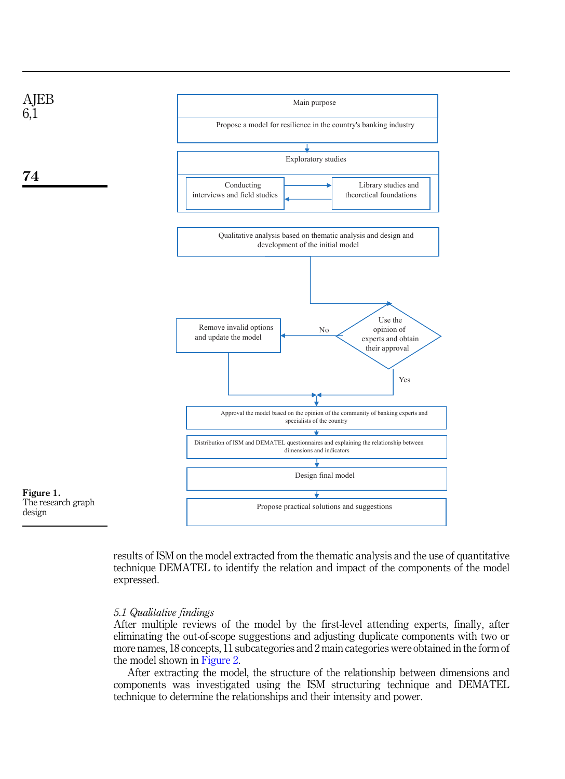<span id="page-5-0"></span>

results of ISM on the model extracted from the thematic analysis and the use of quantitative technique DEMATEL to identify the relation and impact of the components of the model expressed.

#### 5.1 Qualitative findings

After multiple reviews of the model by the first-level attending experts, finally, after eliminating the out-of-scope suggestions and adjusting duplicate components with two or more names, 18 concepts, 11 subcategories and 2 main categories were obtained in the form of the model shown in [Figure 2](#page-7-0).

After extracting the model, the structure of the relationship between dimensions and components was investigated using the ISM structuring technique and DEMATEL technique to determine the relationships and their intensity and power.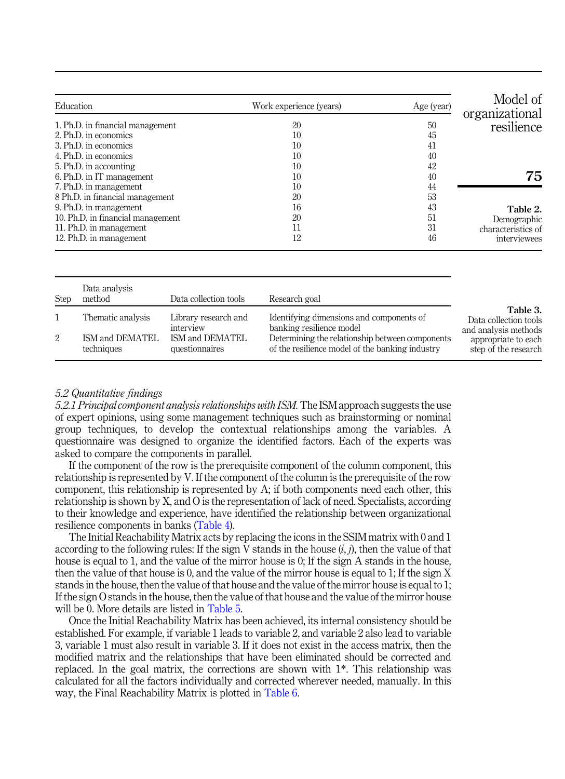<span id="page-6-0"></span>

| Model of<br>organizational | Age (year) | Work experience (years) | Education                         |
|----------------------------|------------|-------------------------|-----------------------------------|
| resilience                 | 50         | 20                      | 1. Ph.D. in financial management  |
|                            | 45         | 10                      | 2. Ph.D. in economics             |
|                            | 41         | 10                      | 3. Ph.D. in economics             |
|                            | 40         | 10                      | 4. Ph.D. in economics             |
|                            | 42         | 10                      | 5. Ph.D. in accounting            |
| 75                         | 40         | 10                      | 6. Ph.D. in IT management         |
|                            | 44         | 10                      | 7. Ph.D. in management            |
|                            | 53         | 20                      | 8 Ph.D. in financial management   |
| Table 2.                   | 43         | 16                      | 9. Ph.D. in management            |
| Demographic                | 51         | 20                      | 10. Ph.D. in financial management |
| characteristics of         | 31         | 11                      | 11. Ph.D. in management           |
| interviewees               | 46         | 12                      | 12. Ph.D. in management           |

| <b>Step</b> | Data analysis<br>method       | Data collection tools             | Research goal                                                                                      |                                                           |
|-------------|-------------------------------|-----------------------------------|----------------------------------------------------------------------------------------------------|-----------------------------------------------------------|
|             | Thematic analysis             | Library research and<br>interview | Identifying dimensions and components of<br>banking resilience model                               | Table 3.<br>Data collection tools<br>and analysis methods |
| 2           | ISM and DEMATEL<br>techniques | ISM and DEMATEL<br>questionnaires | Determining the relationship between components<br>of the resilience model of the banking industry | appropriate to each<br>step of the research               |

## 5.2 Quantitative findings

5.2.1 Principal component analysis relationships with ISM.The ISM approach suggests the use of expert opinions, using some management techniques such as brainstorming or nominal group techniques, to develop the contextual relationships among the variables. A questionnaire was designed to organize the identified factors. Each of the experts was asked to compare the components in parallel.

If the component of the row is the prerequisite component of the column component, this relationship is represented by V. If the component of the column is the prerequisite of the row component, this relationship is represented by A; if both components need each other, this relationship is shown by X, and O is the representation of lack of need. Specialists, according to their knowledge and experience, have identified the relationship between organizational resilience components in banks ([Table 4\)](#page-8-0).

The Initial Reachability Matrix acts by replacing the icons in the SSIM matrix with 0 and 1 according to the following rules: If the sign V stands in the house  $(i, j)$ , then the value of that house is equal to 1, and the value of the mirror house is 0; If the sign A stands in the house, then the value of that house is 0, and the value of the mirror house is equal to 1; If the sign X stands in the house, then the value of that house and the value of the mirror house is equal to 1; If the sign O stands in the house, then the value of that house and the value of the mirror house will be 0. More details are listed in [Table 5.](#page-8-0)

Once the Initial Reachability Matrix has been achieved, its internal consistency should be established. For example, if variable 1 leads to variable 2, and variable 2 also lead to variable 3, variable 1 must also result in variable 3. If it does not exist in the access matrix, then the modified matrix and the relationships that have been eliminated should be corrected and replaced. In the goal matrix, the corrections are shown with 1\*. This relationship was calculated for all the factors individually and corrected wherever needed, manually. In this way, the Final Reachability Matrix is plotted in [Table 6.](#page-8-0)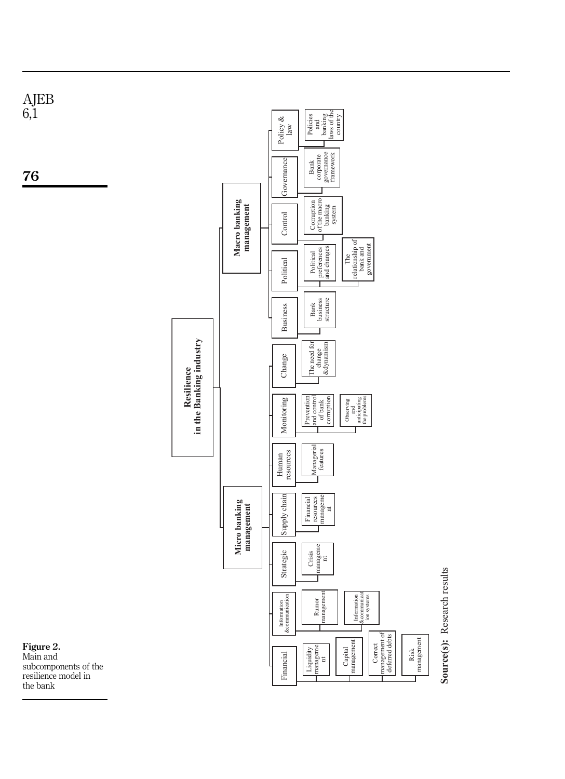<span id="page-7-0"></span>

the bank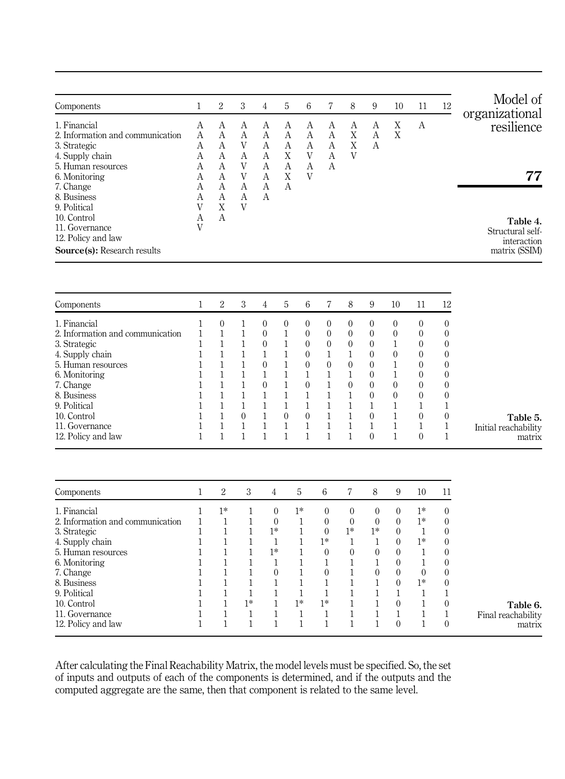<span id="page-8-0"></span>

| Components                                                                                         |                            | 2                          | 3                          | 4                     | 5                | 6           |             | 8           | 9           | 10     | 11 | 12 | Model of<br>organizational                                   |
|----------------------------------------------------------------------------------------------------|----------------------------|----------------------------|----------------------------|-----------------------|------------------|-------------|-------------|-------------|-------------|--------|----|----|--------------------------------------------------------------|
| 1. Financial<br>2. Information and communication<br>3. Strategic                                   | А<br>A<br>А                | A<br>A<br>А                | A<br>A<br>V                | А<br>A<br>А           | А<br>А<br>А      | A<br>A<br>A | A<br>A<br>А | А<br>X<br>Χ | А<br>A<br>А | Χ<br>X | А  |    | resilience                                                   |
| 4. Supply chain<br>5. Human resources<br>6. Monitoring<br>7. Change<br>8. Business<br>9. Political | А<br>А<br>А<br>А<br>А<br>V | А<br>А<br>А<br>А<br>А<br>X | A<br>V<br>V<br>A<br>A<br>V | А<br>A<br>А<br>A<br>A | X<br>А<br>Χ<br>A | V<br>А<br>V | А<br>A      | V           |             |        |    |    | 77                                                           |
| 10. Control<br>11. Governance<br>12. Policy and law<br>Source(s): Research results                 | А<br>V                     | А                          |                            |                       |                  |             |             |             |             |        |    |    | Table 4.<br>Structural self-<br>interaction<br>matrix (SSIM) |

| Components                       | 2        | 3 | 4        | $\mathfrak{h}$ | 6        |          | 8        | 9        | 10       | 11       | 12       |                      |
|----------------------------------|----------|---|----------|----------------|----------|----------|----------|----------|----------|----------|----------|----------------------|
| 1. Financial                     | $\Omega$ |   |          |                | $\Omega$ | $\Omega$ | $\Omega$ | 0        | 0        | $\theta$ | $\theta$ |                      |
| 2. Information and communication |          |   | $\Omega$ |                | $\Omega$ | $\Omega$ | $\Omega$ | $\theta$ | $\Omega$ | $\theta$ | 0        |                      |
| 3. Strategic                     |          |   | 0        |                | $\Omega$ | $\theta$ | $\theta$ | $\Omega$ |          | 0        | $\Omega$ |                      |
| 4. Supply chain                  |          |   |          |                | $\Omega$ |          |          | $\theta$ | $\Omega$ | $\theta$ | 0        |                      |
| 5. Human resources               |          |   | $^{(1)}$ |                | 0        | $\Omega$ | $\Omega$ | $\Omega$ |          | $\Omega$ | $\Omega$ |                      |
| 6. Monitoring                    |          |   |          |                |          |          |          | $\theta$ |          | 0        | 0        |                      |
| 7. Change                        |          |   | $^{(1)}$ |                | $\Omega$ |          | $\Omega$ | $\Omega$ | $\Omega$ | $\theta$ | $\theta$ |                      |
| 8. Business                      |          |   |          |                |          |          |          | $\Omega$ | $\Omega$ | $\theta$ | $\Omega$ |                      |
| 9. Political                     |          |   |          |                |          |          |          |          |          |          |          |                      |
| 10. Control                      |          |   |          | $^{\circ}$     | 0        |          |          | $\Omega$ |          | $\Omega$ | $\Omega$ | Table 5.             |
| 11. Governance                   |          |   |          |                |          |          |          |          |          |          |          | Initial reachability |
| 12. Policy and law               |          |   |          |                |          |          |          | $\theta$ |          | 0        |          | matrix               |

| Components                       | 2    | 3    | 4        | 5    | 6        |          | 8        | 9        | 10       | 11           |                    |
|----------------------------------|------|------|----------|------|----------|----------|----------|----------|----------|--------------|--------------------|
| 1. Financial                     | $1*$ |      | $\Omega$ | $1*$ | $\Omega$ | $\theta$ | 0        | $\left($ | $1*$     | $\theta$     |                    |
| 2. Information and communication |      |      | $\Omega$ |      | $\Omega$ | $\Omega$ | $\Omega$ | $\Omega$ | $1*$     | $\theta$     |                    |
| 3. Strategic                     |      |      | $1*$     |      | $\Omega$ | $1*$     | $1*$     | $\left($ |          | $\Omega$     |                    |
| 4. Supply chain                  |      |      |          |      | $1*$     |          |          | $\Omega$ | $1*$     | $\Omega$     |                    |
| 5. Human resources               |      |      | $1*$     |      | $\theta$ | $\Omega$ | $\theta$ | $\theta$ |          | $\theta$     |                    |
| 6. Monitoring                    |      |      |          |      |          |          |          | $\Omega$ |          | $\theta$     |                    |
| 7. Change                        |      |      | $\Omega$ |      | $\Omega$ |          | 0        | $\left($ | $\theta$ | $\mathbf{0}$ |                    |
| 8. Business                      |      |      |          |      |          |          |          | $\Omega$ | $1*$     | $\theta$     |                    |
| 9. Political                     |      |      |          |      |          |          |          |          |          |              |                    |
| 10. Control                      |      | $1*$ |          | $1*$ | $1*$     |          |          | $\Omega$ |          | $\theta$     | Table 6.           |
| 11. Governance                   |      |      |          |      |          |          |          |          |          |              | Final reachability |
| 12. Policy and law               |      |      |          |      |          |          |          | 0        |          | $\theta$     | matrix             |

After calculating the Final Reachability Matrix, the model levels must be specified. So, the set of inputs and outputs of each of the components is determined, and if the outputs and the computed aggregate are the same, then that component is related to the same level.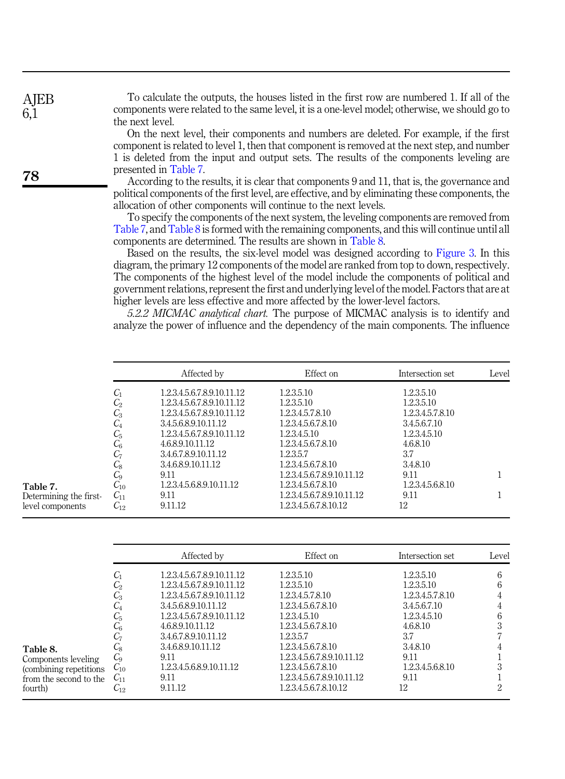| To calculate the outputs, the houses listed in the first row are numbered 1. If all of the     |
|------------------------------------------------------------------------------------------------|
| components were related to the same level, it is a one-level model; otherwise, we should go to |
| the next level.                                                                                |

On the next level, their components and numbers are deleted. For example, if the first component is related to level 1, then that component is removed at the next step, and number 1 is deleted from the input and output sets. The results of the components leveling are presented in Table 7.

According to the results, it is clear that components 9 and 11, that is, the governance and political components of the first level, are effective, and by eliminating these components, the allocation of other components will continue to the next levels.

To specify the components of the next system, the leveling components are removed from Table 7, and Table 8 is formed with the remaining components, and this will continue until all components are determined. The results are shown in Table 8.

Based on the results, the six-level model was designed according to [Figure 3](#page-10-0). In this diagram, the primary 12 components of the model are ranked from top to down, respectively. The components of the highest level of the model include the components of political and government relations, represent the first and underlying level of the model. Factors that are at higher levels are less effective and more affected by the lower-level factors.

5.2.2 MICMAC analytical chart. The purpose of MICMAC analysis is to identify and analyze the power of influence and the dependency of the main components. The influence

|                        |                 | Affected by                | Effect on                  | Intersection set | Level |
|------------------------|-----------------|----------------------------|----------------------------|------------------|-------|
|                        | $C_1$           | 1.2.3.4.5.6.7.8.9.10.11.12 | 1.2.3.5.10                 | 1.2.3.5.10       |       |
|                        | $\mathcal{C}_2$ | 1.2.3.4.5.6.7.8.9.10.11.12 | 1.2.3.5.10                 | 1.2.3.5.10       |       |
|                        | $C_3$           | 1.2.3.4.5.6.7.8.9.10.11.12 | 1.2.3.4.5.7.8.10           | 1.2.3.4.5.7.8.10 |       |
|                        | $C_4$           | 3.4.5.6.8.9.10.11.12       | 1.2.3.4.5.6.7.8.10         | 3.4.5.6.7.10     |       |
|                        | $C_5$           | 1.2.3.4.5.6.7.8.9.10.11.12 | 1.2.3.4.5.10               | 1.2.3.4.5.10     |       |
|                        | $C_6$           | 4.6.8.9.10.11.12           | 1.2.3.4.5.6.7.8.10         | 4.6.8.10         |       |
|                        | C7              | 3.4.6.7.8.9.10.11.12       | 1.2.3.5.7                  | 3.7              |       |
|                        | $\mathcal{C}_8$ | 3.4.6.8.9.10.11.12         | 1.2.3.4.5.6.7.8.10         | 3.4.8.10         |       |
|                        | $C_{9}$         | 9.11                       | 1.2.3.4.5.6.7.8.9.10.11.12 | 9.11             |       |
| Table 7.               | $C_{10}$        | 12345689101112             | 1.2.3.4.5.6.7.8.10         | 1.2.3.4.5.6.8.10 |       |
| Determining the first- | $C_{11}$        | 9.11                       | 1.2.3.4.5.6.7.8.9.10.11.12 | 9.11             |       |
| level components       | $C_{12}$        | 9.11.12                    | 1.2.3.4.5.6.7.8.10.12      | 12               |       |

|                                                                                                 |                                                                                                               | Affected by                                                                                                                                                                                                                                                           | Effect on                                                                                                                                                                                                                                              | Intersection set                                                                                                                                      | Level       |
|-------------------------------------------------------------------------------------------------|---------------------------------------------------------------------------------------------------------------|-----------------------------------------------------------------------------------------------------------------------------------------------------------------------------------------------------------------------------------------------------------------------|--------------------------------------------------------------------------------------------------------------------------------------------------------------------------------------------------------------------------------------------------------|-------------------------------------------------------------------------------------------------------------------------------------------------------|-------------|
| Table 8.<br>Components leveling<br>(combining repetitions)<br>from the second to the<br>fourth) | $C_1$<br>$C_{2}$<br>$C_{3}$<br>$C_{4}$<br>C5<br>$C_{6}$<br>C7<br>Ų8<br>C9<br>$C_{10}$<br>$C_{11}$<br>$C_{12}$ | 1.2.3.4.5.6.7.8.9.10.11.12<br>1.2.3.4.5.6.7.8.9.10.11.12<br>1.2.3.4.5.6.7.8.9.10.11.12<br>3.4.5.6.8.9.10.11.12<br>1.2.3.4.5.6.7.8.9.10.11.12<br>4.6.8.9.10.11.12<br>3.4.6.7.8.9.10.11.12<br>3.4.6.8.9.10.11.12<br>9.11<br>1.2.3.4.5.6.8.9.10.11.12<br>9.11<br>9.11.12 | 1.2.3.5.10<br>1.2.3.5.10<br>1.2.3.4.5.7.8.10<br>1.2.3.4.5.6.7.8.10<br>1.2.3.4.5.10<br>1.2.3.4.5.6.7.8.10<br>1.2.3.5.7<br>1.2.3.4.5.6.7.8.10<br>1.2.3.4.5.6.7.8.9.10.11.12<br>1.2.3.4.5.6.7.8.10<br>1.2.3.4.5.6.7.8.9.10.11.12<br>1.2.3.4.5.6.7.8.10.12 | 1.2.3.5.10<br>1.2.3.5.10<br>1.2.3.4.5.7.8.10<br>3.4.5.6.7.10<br>1.2.3.4.5.10<br>4.6.8.10<br>3.7<br>3.4.8.10<br>9.11<br>1.2.3.4.5.6.8.10<br>9.11<br>12 | 6<br>6<br>6 |

**AIEB** 6,1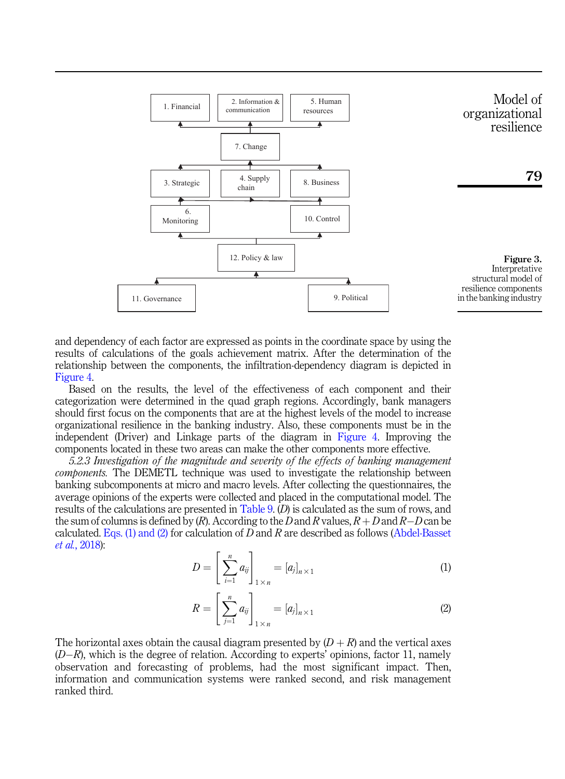<span id="page-10-0"></span>

and dependency of each factor are expressed as points in the coordinate space by using the results of calculations of the goals achievement matrix. After the determination of the relationship between the components, the infiltration-dependency diagram is depicted in [Figure 4](#page-11-0).

Based on the results, the level of the effectiveness of each component and their categorization were determined in the quad graph regions. Accordingly, bank managers should first focus on the components that are at the highest levels of the model to increase organizational resilience in the banking industry. Also, these components must be in the independent (Driver) and Linkage parts of the diagram in [Figure 4.](#page-11-0) Improving the components located in these two areas can make the other components more effective.

<span id="page-10-1"></span>5.2.3 Investigation of the magnitude and severity of the effects of banking management combonents. The DEMETL technique was used to investigate the relationship between banking subcomponents at micro and macro levels. After collecting the questionnaires, the average opinions of the experts were collected and placed in the computational model. The results of the calculations are presented in [Table 9](#page-11-0). (D) is calculated as the sum of rows, and the sum of columns is defined by  $(R)$ . According to the D and R values,  $R + D$  and  $R - D$  can be calculated. [Eqs. \(1\) and \(2\)](#page-10-1) for calculation of  $D$  and  $R$  are described as follows ([Abdel-Basset](#page-14-16) et al.[, 2018\)](#page-14-16):

$$
D = \left[\sum_{i=1}^{n} a_{ij}\right]_{1 \times n} = [a_j]_{n \times 1} \tag{1}
$$

$$
R = \left[\sum_{j=1}^{n} a_{ij}\right]_{1 \times n} = [a_j]_{n \times 1} \tag{2}
$$

The horizontal axes obtain the causal diagram presented by  $(D + R)$  and the vertical axes  $(D-R)$ , which is the degree of relation. According to experts' opinions, factor 11, namely observation and forecasting of problems, had the most significant impact. Then, information and communication systems were ranked second, and risk management ranked third.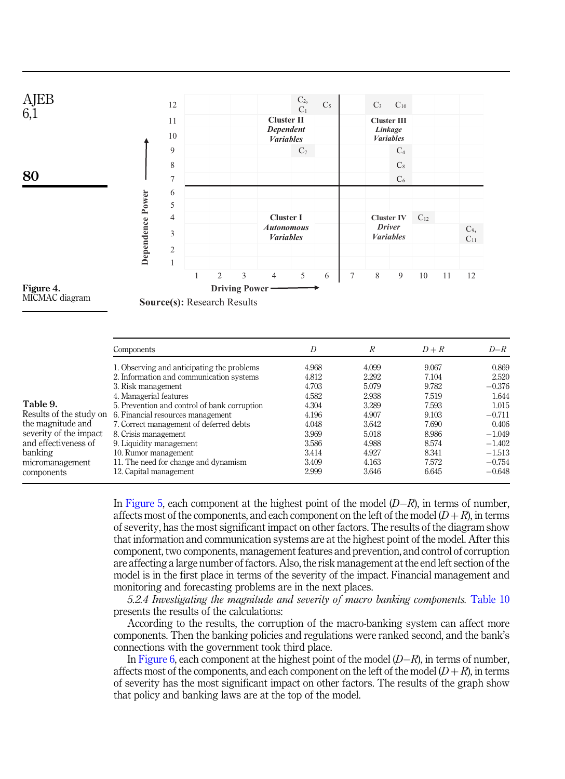<span id="page-11-0"></span>



**Source(s):** Research Results

|                         | Components                                   | D     | R     | $D+R$ | $D-R$    |
|-------------------------|----------------------------------------------|-------|-------|-------|----------|
|                         | 1. Observing and anticipating the problems   | 4.968 | 4.099 | 9.067 | 0.869    |
|                         | 2. Information and communication systems     | 4.812 | 2.292 | 7.104 | 2.520    |
|                         | 3. Risk management                           | 4.703 | 5.079 | 9.782 | $-0.376$ |
|                         | 4. Managerial features                       | 4.582 | 2.938 | 7.519 | 1.644    |
| Table 9.                | 5. Prevention and control of bank corruption | 4.304 | 3.289 | 7.593 | 1.015    |
| Results of the study on | 6. Financial resources management            | 4.196 | 4.907 | 9.103 | $-0.711$ |
| the magnitude and       | 7. Correct management of deferred debts      | 4.048 | 3.642 | 7.690 | 0.406    |
| severity of the impact  | 8. Crisis management                         | 3.969 | 5.018 | 8.986 | $-1.049$ |
| and effectiveness of    | 9. Liquidity management                      | 3.586 | 4.988 | 8.574 | $-1.402$ |
| banking                 | 10. Rumor management                         | 3.414 | 4.927 | 8.341 | $-1.513$ |
| micromanagement         | 11. The need for change and dynamism         | 3.409 | 4.163 | 7.572 | $-0.754$ |
| components              | 12. Capital management                       | 2.999 | 3.646 | 6.645 | $-0.648$ |

In [Figure 5](#page-12-0), each component at the highest point of the model  $(D-R)$ , in terms of number, affects most of the components, and each component on the left of the model  $(D + R)$ , in terms of severity, has the most significant impact on other factors. The results of the diagram show that information and communication systems are at the highest point of the model. After this component, two components, management features and prevention, and control of corruption are affecting a large number of factors. Also, the risk management at the end left section of the model is in the first place in terms of the severity of the impact. Financial management and monitoring and forecasting problems are in the next places.

5.2.4 Investigating the magnitude and severity of macro banking components. [Table 10](#page-12-0) presents the results of the calculations:

According to the results, the corruption of the macro-banking system can affect more components. Then the banking policies and regulations were ranked second, and the bank's connections with the government took third place.

In [Figure 6,](#page-13-0) each component at the highest point of the model  $(D-R)$ , in terms of number, affects most of the components, and each component on the left of the model  $(D + R)$ , in terms of severity has the most significant impact on other factors. The results of the graph show that policy and banking laws are at the top of the model.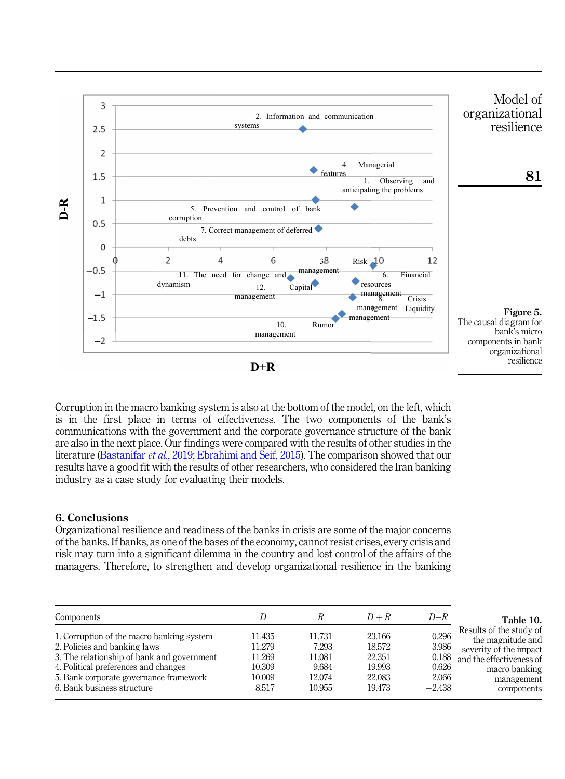<span id="page-12-0"></span>

Corruption in the macro banking system is also at the bottom of the model, on the left, which is in the first place in terms of effectiveness. The two components of the bank's communications with the government and the corporate governance structure of the bank are also in the next place. Our findings were compared with the results of other studies in the literature [\(Bastanifar](#page-14-17) et al., 2019; [Ebrahimi and Seif, 2015\)](#page-14-18). The comparison showed that our results have a good fit with the results of other researchers, who considered the Iran banking industry as a case study for evaluating their models.

## 6. Conclusions

Organizational resilience and readiness of the banks in crisis are some of the major concerns of the banks. If banks, as one of the bases of the economy, cannot resist crises, every crisis and risk may turn into a significant dilemma in the country and lost control of the affairs of the

| Components                                                                                                              |                            |                           | $D+R$                      | $D-R$                         | Table 10.                                                                                          |
|-------------------------------------------------------------------------------------------------------------------------|----------------------------|---------------------------|----------------------------|-------------------------------|----------------------------------------------------------------------------------------------------|
| 1. Corruption of the macro banking system<br>2. Policies and banking laws<br>3. The relationship of bank and government | 11.435<br>11.279<br>11.269 | 11.731<br>7.293<br>11.081 | 23.166<br>18.572<br>22.351 | $-0.296$<br>3.986<br>0.188    | Results of the study of<br>the magnitude and<br>severity of the impact<br>and the effectiveness of |
| 4. Political preferences and changes<br>5. Bank corporate governance framework<br>6. Bank business structure            | 10.309<br>10.009<br>8.517  | 9.684<br>12.074<br>10.955 | 19.993<br>22.083<br>19.473 | 0.626<br>$-2.066$<br>$-2.438$ | macro banking<br>management<br>components                                                          |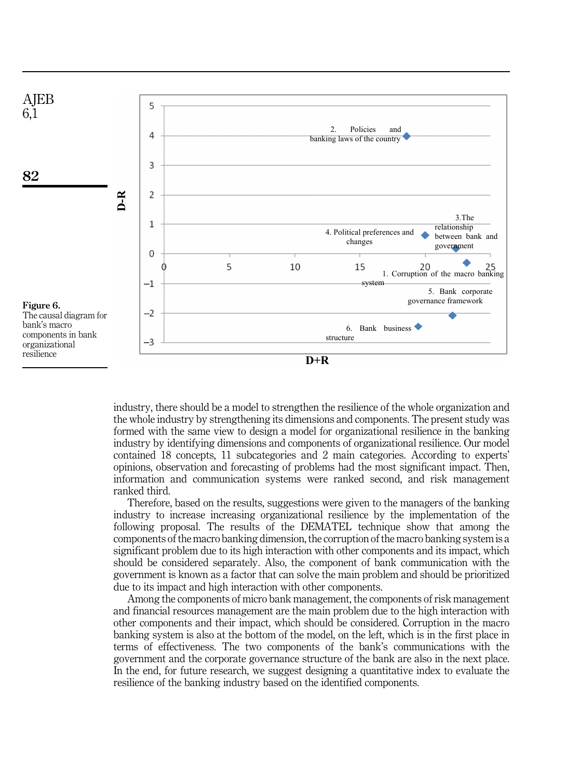<span id="page-13-0"></span>

industry, there should be a model to strengthen the resilience of the whole organization and the whole industry by strengthening its dimensions and components. The present study was formed with the same view to design a model for organizational resilience in the banking industry by identifying dimensions and components of organizational resilience. Our model contained 18 concepts, 11 subcategories and 2 main categories. According to experts' opinions, observation and forecasting of problems had the most significant impact. Then, information and communication systems were ranked second, and risk management ranked third.

Therefore, based on the results, suggestions were given to the managers of the banking industry to increase increasing organizational resilience by the implementation of the following proposal. The results of the DEMATEL technique show that among the components of the macro banking dimension, the corruption of the macro banking system is a significant problem due to its high interaction with other components and its impact, which should be considered separately. Also, the component of bank communication with the government is known as a factor that can solve the main problem and should be prioritized due to its impact and high interaction with other components.

Among the components of micro bank management, the components of risk management and financial resources management are the main problem due to the high interaction with other components and their impact, which should be considered. Corruption in the macro banking system is also at the bottom of the model, on the left, which is in the first place in terms of effectiveness. The two components of the bank's communications with the government and the corporate governance structure of the bank are also in the next place. In the end, for future research, we suggest designing a quantitative index to evaluate the resilience of the banking industry based on the identified components.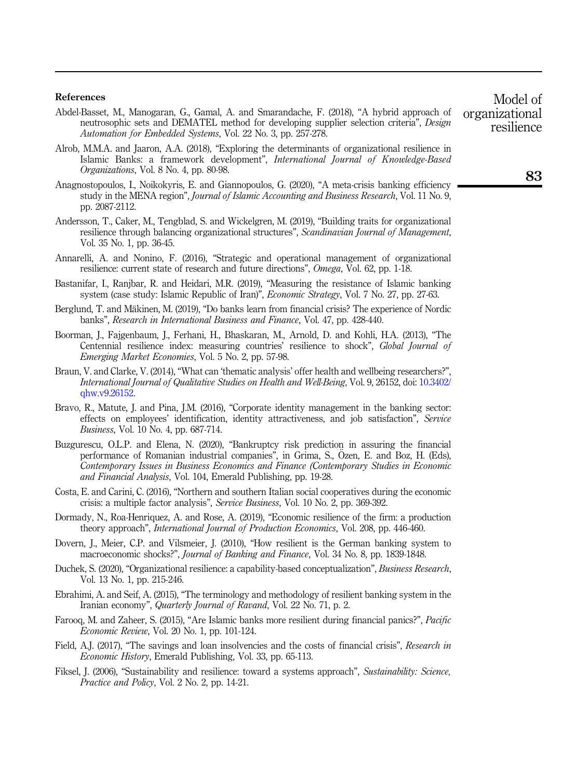#### References

- <span id="page-14-16"></span>Abdel-Basset, M., Manogaran, G., Gamal, A. and Smarandache, F. (2018), "A hybrid approach of neutrosophic sets and DEMATEL method for developing supplier selection criteria", Design Automation for Embedded Systems, Vol. 22 No. 3, pp. 257-278.
- <span id="page-14-12"></span>Alrob, M.M.A. and Jaaron, A.A. (2018), "Exploring the determinants of organizational resilience in Islamic Banks: a framework development", International Journal of Knowledge-Based Organizations, Vol. 8 No. 4, pp. 80-98.
- <span id="page-14-4"></span>Anagnostopoulos, I., Noikokyris, E. and Giannopoulos, G. (2020), "A meta-crisis banking efficiency study in the MENA region", *Journal of Islamic Accounting and Business Research*, Vol. 11 No. 9, pp. 2087-2112.
- <span id="page-14-7"></span>Andersson, T., Caker, M., Tengblad, S. and Wickelgren, M. (2019), "Building traits for organizational resilience through balancing organizational structures", Scandinavian Journal of Management, Vol. 35 No. 1, pp. 36-45.
- <span id="page-14-10"></span>Annarelli, A. and Nonino, F. (2016), "Strategic and operational management of organizational resilience: current state of research and future directions", Omega, Vol. 62, pp. 1-18.
- <span id="page-14-17"></span>Bastanifar, I., Ranjbar, R. and Heidari, M.R. (2019), "Measuring the resistance of Islamic banking system (case study: Islamic Republic of Iran)", *Economic Strategy*, Vol. 7 No. 27, pp. 27-63.
- <span id="page-14-1"></span>Berglund, T. and Mäkinen, M. (2019), "Do banks learn from financial crisis? The experience of Nordic banks", Research in International Business and Finance, Vol. 47, pp. 428-440.
- <span id="page-14-14"></span>Boorman, J., Fajgenbaum, J., Ferhani, H., Bhaskaran, M., Arnold, D. and Kohli, H.A. (2013), "The Centennial resilience index: measuring countries' resilience to shock", Global Journal of Emerging Market Economies, Vol. 5 No. 2, pp. 57-98.
- <span id="page-14-15"></span>Braun, V. and Clarke, V. (2014), "What can 'thematic analysis' offer health and wellbeing researchers?", International Journal of Qualitative Studies on Health and Well-Being, Vol. 9, 26152, doi: [10.3402/](https://doi.org/10.3402/qhw.v9.26152) [qhw.v9.26152.](https://doi.org/10.3402/qhw.v9.26152)
- <span id="page-14-5"></span>Bravo, R., Matute, J. and Pina, J.M. (2016), "Corporate identity management in the banking sector: effects on employees' identification, identity attractiveness, and job satisfaction", Service Business, Vol. 10 No. 4, pp. 687-714.
- <span id="page-14-0"></span>Buzgurescu, O.L.P. and Elena, N. (2020), "Bankruptcy risk prediction in assuring the financial performance of Romanian industrial companies", in Grima, S., Özen, E. and Boz, H. (Eds), Contemporary Issues in Business Economics and Finance (Contemporary Studies in Economic and Financial Analysis, Vol. 104, Emerald Publishing, pp. 19-28.
- <span id="page-14-3"></span>Costa, E. and Carini, C. (2016), "Northern and southern Italian social cooperatives during the economic crisis: a multiple factor analysis", Service Business, Vol. 10 No. 2, pp. 369-392.
- <span id="page-14-6"></span>Dormady, N., Roa-Henriquez, A. and Rose, A. (2019), "Economic resilience of the firm: a production theory approach", International Journal of Production Economics, Vol. 208, pp. 446-460.
- <span id="page-14-9"></span>Dovern, J., Meier, C.P. and Vilsmeier, J. (2010), "How resilient is the German banking system to macroeconomic shocks?", Journal of Banking and Finance, Vol. 34 No. 8, pp. 1839-1848.
- <span id="page-14-13"></span>Duchek, S. (2020), "Organizational resilience: a capability-based conceptualization", Business Research, Vol. 13 No. 1, pp. 215-246.
- <span id="page-14-18"></span>Ebrahimi, A. and Seif, A. (2015), "The terminology and methodology of resilient banking system in the Iranian economy", Quarterly Journal of Ravand, Vol. 22 No. 71, p. 2.
- <span id="page-14-11"></span>Farooq, M. and Zaheer, S. (2015), "Are Islamic banks more resilient during financial panics?", Pacific Economic Review, Vol. 20 No. 1, pp. 101-124.
- <span id="page-14-2"></span>Field, A.J. (2017), "The savings and loan insolvencies and the costs of financial crisis", Research in Economic History, Emerald Publishing, Vol. 33, pp. 65-113.
- <span id="page-14-8"></span>Fiksel, J. (2006), "Sustainability and resilience: toward a systems approach", Sustainability: Science, Practice and Policy, Vol. 2 No. 2, pp. 14-21.

Model of organizational resilience

83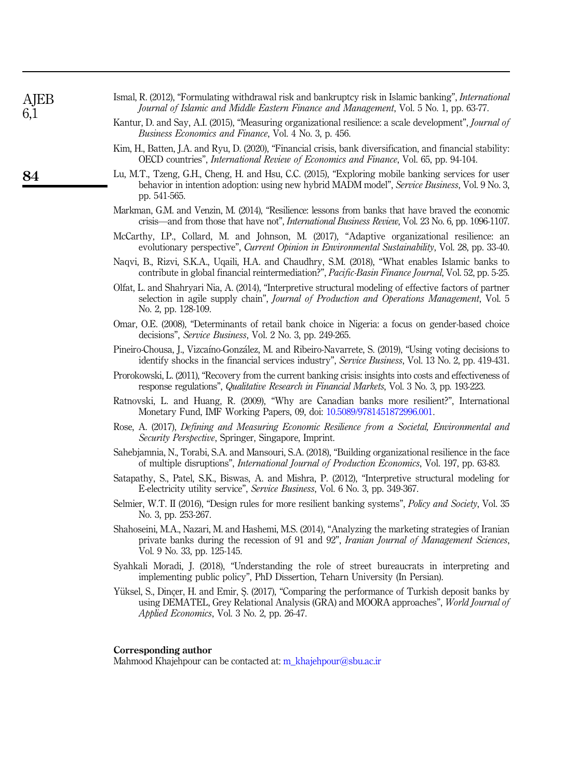<span id="page-15-18"></span><span id="page-15-17"></span><span id="page-15-16"></span><span id="page-15-15"></span><span id="page-15-14"></span><span id="page-15-13"></span><span id="page-15-12"></span><span id="page-15-11"></span><span id="page-15-10"></span><span id="page-15-9"></span><span id="page-15-8"></span><span id="page-15-7"></span><span id="page-15-6"></span><span id="page-15-5"></span><span id="page-15-4"></span><span id="page-15-3"></span><span id="page-15-2"></span><span id="page-15-1"></span><span id="page-15-0"></span>

| AJEB<br>6,1 | Ismal, R. (2012), "Formulating withdrawal risk and bankruptcy risk in Islamic banking", <i>International</i><br>Journal of Islamic and Middle Eastern Finance and Management, Vol. 5 No. 1, pp. 63-77.                                            |
|-------------|---------------------------------------------------------------------------------------------------------------------------------------------------------------------------------------------------------------------------------------------------|
|             | Kantur, D. and Say, A.I. (2015), "Measuring organizational resilience: a scale development", Journal of<br><i>Business Economics and Finance</i> , Vol. 4 No. 3, p. 456.                                                                          |
|             | Kim, H., Batten, J.A. and Ryu, D. (2020), "Financial crisis, bank diversification, and financial stability:<br>OECD countries", International Review of Economics and Finance, Vol. 65, pp. 94-104.                                               |
| 84          | Lu, M.T., Tzeng, G.H., Cheng, H. and Hsu, C.C. (2015), "Exploring mobile banking services for user<br>behavior in intention adoption: using new hybrid MADM model", <i>Service Business</i> , Vol. 9 No. 3,<br>pp. 541-565.                       |
|             | Markman, G.M. and Venzin, M. (2014), "Resilience: lessons from banks that have braved the economic<br>crisis—and from those that have not", <i>International Business Review</i> , Vol. 23 No. 6, pp. 1096-1107.                                  |
|             | McCarthy, I.P., Collard, M. and Johnson, M. (2017), "Adaptive organizational resilience: an<br>evolutionary perspective", Current Opinion in Environmental Sustainability, Vol. 28, pp. 33-40.                                                    |
|             | Naqvi, B., Rizvi, S.K.A., Uqaili, H.A. and Chaudhry, S.M. (2018), "What enables Islamic banks to<br>contribute in global financial reintermediation?", Pacific-Basin Finance Journal, Vol. 52, pp. 5-25.                                          |
|             | Olfat, L. and Shahryari Nia, A. (2014), "Interpretive structural modeling of effective factors of partner<br>selection in agile supply chain", Journal of Production and Operations Management, Vol. 5<br>No. 2, pp. 128-109.                     |
|             | Omar, O.E. (2008), "Determinants of retail bank choice in Nigeria: a focus on gender-based choice<br>decisions", <i>Service Business</i> , Vol. 2 No. 3, pp. 249-265.                                                                             |
|             | Pineiro-Chousa, J., Vizcaíno-González, M. and Ribeiro-Navarrete, S. (2019), "Using voting decisions to<br>identify shocks in the financial services industry", Service Business, Vol. 13 No. 2, pp. 419-431.                                      |
|             | Prorokowski, L. (2011), "Recovery from the current banking crisis: insights into costs and effectiveness of<br>response regulations", <i>Qualitative Research in Financial Markets</i> , Vol. 3 No. 3, pp. 193-223.                               |
|             | Ratnovski, L. and Huang, R. (2009), "Why are Canadian banks more resilient?", International<br>Monetary Fund, IMF Working Papers, 09, doi: 10.5089/9781451872996.001.                                                                             |
|             | Rose, A. (2017), <i>Defining and Measuring Economic Resilience from a Societal, Environmental and</i><br><i>Security Perspective, Springer, Singapore, Imprint.</i>                                                                               |
|             | Sahebjamnia, N., Torabi, S.A. and Mansouri, S.A. (2018), "Building organizational resilience in the face<br>of multiple disruptions", <i>International Journal of Production Economics</i> , Vol. 197, pp. 63-83.                                 |
|             | Satapathy, S., Patel, S.K., Biswas, A. and Mishra, P. (2012), "Interpretive structural modeling for<br>E-electricity utility service", Service Business, Vol. 6 No. 3, pp. 349-367.                                                               |
|             | Selmier, W.T. II (2016), "Design rules for more resilient banking systems", <i>Policy and Society</i> , Vol. 35<br>No. 3, pp. 253-267.                                                                                                            |
|             | Shahoseini, M.A., Nazari, M. and Hashemi, M.S. (2014), "Analyzing the marketing strategies of Iranian<br>private banks during the recession of 91 and 92", Iranian Journal of Management Sciences,<br>Vol. 9 No. 33, pp. 125-145.                 |
|             | Syahkali Moradi, J. (2018), "Understanding the role of street bureaucrats in interpreting and<br>implementing public policy", PhD Dissertion, Teharn University (In Persian).                                                                     |
|             | Yüksel, S., Dinçer, H. and Emir, S. (2017), "Comparing the performance of Turkish deposit banks by<br>using DEMATEL, Grey Relational Analysis (GRA) and MOORA approaches", <i>World Journal of</i><br>Applied Economics, Vol. 3 No. 2, pp. 26-47. |
|             | Corresponding author<br>Mahmood Khajehpour can be contacted at: m_khajehpour@sbu.ac.ir                                                                                                                                                            |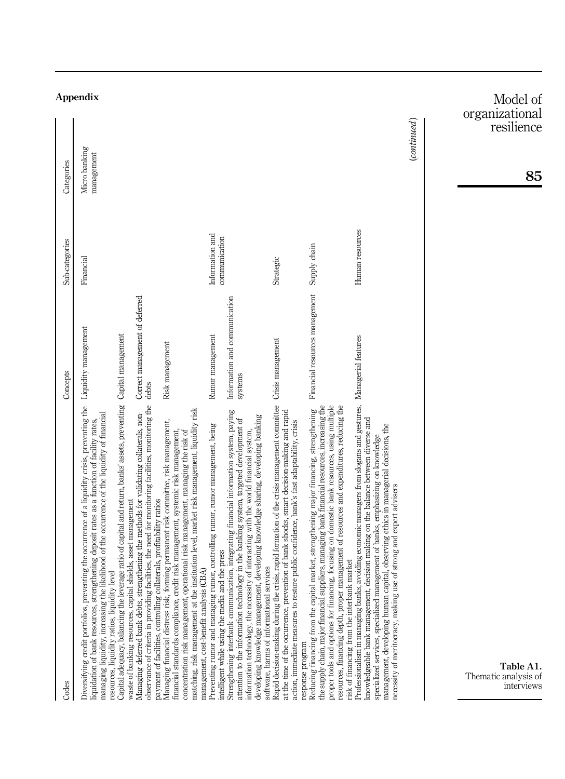| Codes                                                                                                                                                                                                                                                                                                                                                                                                                                                   | Concepts                                 | Sub-categories                   | Categories                                     |
|---------------------------------------------------------------------------------------------------------------------------------------------------------------------------------------------------------------------------------------------------------------------------------------------------------------------------------------------------------------------------------------------------------------------------------------------------------|------------------------------------------|----------------------------------|------------------------------------------------|
| Diversifying credit portfolios, preventing the occurrence of a liquidity crisis, preventing the Liquidity management<br>managing liquidity, increasing the likelihood of the occurrence of the liquidity of financial<br>liquidation of bank resources, strengthening deposit rates as a function of facility rates,                                                                                                                                    |                                          | Financial                        | <b>Appendix</b><br>Micro banking<br>management |
| Capital adequacy, balancing the leverage ratio of capital and return, banks' assets, preventing Capital management<br>waste of banking resources, capital shields, asset management<br>resources, liquidity ratios, liquidity level                                                                                                                                                                                                                     |                                          |                                  |                                                |
| observance of criteria in providing facilities, the need for monitoring facilities, monitoring the<br>Managing deferred bank debts, strengthening the methods for validating collaterals, non-<br>payment of facilities, controlling collaterals, profitability ratios                                                                                                                                                                                  | Correct management of deferred<br>debts  |                                  |                                                |
| matching, risk management at the institution level, market risk management, liquidity risk<br>forming permanent risk committee, risk management,<br>operational risk management, managing the risk of<br>credit risk management, systemic risk management,<br>management, cost-benefit analysis (CBA)<br>Managing financial distress risk,<br>financial standards compliance,<br>concentration risk management,                                         | Risk management                          |                                  |                                                |
| Preventing rumor and managing rumor, controlling rumor, rumor management, being<br>intelligent while using the media and the press                                                                                                                                                                                                                                                                                                                      | Rumor management                         | Information and<br>communication |                                                |
| Strengthening interbank communication, integrating financial information system, paying<br>developing knowledge management, developing knowledge sharing, developing banking<br>attention to the information technology in the banking system, targeted development of<br>information technology, the necessity of interacting with the world financial system,<br>services<br>software, harms of informational                                         | Information and communication<br>systems |                                  |                                                |
| Rapid decision-making during the crisis, rapid formation of the crisis management committee<br>at the time of the occurrence, prevention of bank shocks, smart decision-making and rapid<br>action, immediate measures to restore public confidence, bank's fast adaptability, crisis<br>response program                                                                                                                                               | Crisis management                        | Strategic                        |                                                |
| suppliers, managing bank financial resources, increasing the<br>proper tools and options for financing, focusing on domestic bank resources, using multiple<br>resources, financing depth, proper management of resources and expenditures, reducing the<br>oital market, strengthening major financing, strengthening<br>risk of financing from the interbank market<br>Reducing financing from the cap<br>the supply chain, major financial           | Financial resources management           | Supply chain                     |                                                |
| Professionalism in managing banks, avoiding economic managers from slogans and gestures, Managerial features<br>knowledgeable bank management, decision making on the balance between diverse and<br>capital, observing ethics in managerial decisions, the<br>specialized services, specialized management of banks, emphasizing on knowledge<br>use of strong and expert advisers<br>management, developing human<br>necessity of meritocracy, making |                                          | Human resources                  |                                                |
|                                                                                                                                                                                                                                                                                                                                                                                                                                                         |                                          |                                  | $_{\footnotesize (continued)}$                 |
| Table A1.<br>Thematic analysis of<br>interviews                                                                                                                                                                                                                                                                                                                                                                                                         |                                          |                                  | Model of<br>organizational<br>resilience<br>85 |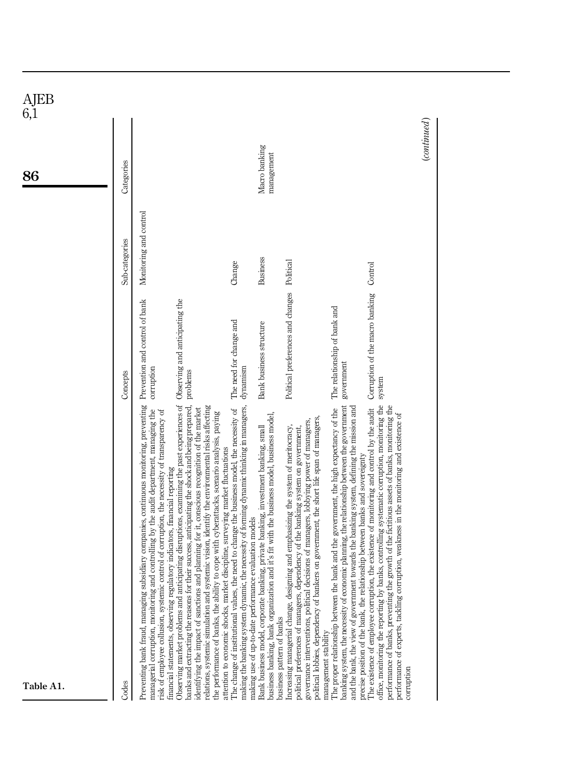| AJEB<br>6,1<br>86 | Categories     |                                                                                                                                                                                                                                                                                                                                                                                                                                                                                                                                                                                                                                                                                                                                                                                                                                                                                                                                                                                         |                                                                                                                                                                                                                                                    | Macro banking<br>management                                                                                                                                                                                  |                                                                                                                                                                                                                                                                                                                                                                                        |                                                                                                                                                                                                                                                                                                                                                                           |                                                                                                                                                                                                                                                                                                                                                                                                           | $_{\footnotesize (continued)}$ |
|-------------------|----------------|-----------------------------------------------------------------------------------------------------------------------------------------------------------------------------------------------------------------------------------------------------------------------------------------------------------------------------------------------------------------------------------------------------------------------------------------------------------------------------------------------------------------------------------------------------------------------------------------------------------------------------------------------------------------------------------------------------------------------------------------------------------------------------------------------------------------------------------------------------------------------------------------------------------------------------------------------------------------------------------------|----------------------------------------------------------------------------------------------------------------------------------------------------------------------------------------------------------------------------------------------------|--------------------------------------------------------------------------------------------------------------------------------------------------------------------------------------------------------------|----------------------------------------------------------------------------------------------------------------------------------------------------------------------------------------------------------------------------------------------------------------------------------------------------------------------------------------------------------------------------------------|---------------------------------------------------------------------------------------------------------------------------------------------------------------------------------------------------------------------------------------------------------------------------------------------------------------------------------------------------------------------------|-----------------------------------------------------------------------------------------------------------------------------------------------------------------------------------------------------------------------------------------------------------------------------------------------------------------------------------------------------------------------------------------------------------|--------------------------------|
|                   | Sub-categories | Monitoring and control                                                                                                                                                                                                                                                                                                                                                                                                                                                                                                                                                                                                                                                                                                                                                                                                                                                                                                                                                                  | Change                                                                                                                                                                                                                                             | Business                                                                                                                                                                                                     | Political                                                                                                                                                                                                                                                                                                                                                                              |                                                                                                                                                                                                                                                                                                                                                                           | Control                                                                                                                                                                                                                                                                                                                                                                                                   |                                |
|                   | Concepts       | Prevention and control of bank<br>corruption<br>problems                                                                                                                                                                                                                                                                                                                                                                                                                                                                                                                                                                                                                                                                                                                                                                                                                                                                                                                                | The need for change and<br>dynamism                                                                                                                                                                                                                | Bank business structure                                                                                                                                                                                      | Political preferences and changes                                                                                                                                                                                                                                                                                                                                                      | The relationship of bank and<br>government                                                                                                                                                                                                                                                                                                                                | Corruption of the macro banking<br>system                                                                                                                                                                                                                                                                                                                                                                 |                                |
| Table A1.         | Codes          | anticipating disruptions, examining the past experiences of Observing and anticipating the<br>g subsidiary companies, continuous monitoring, preventing<br>banks and extracting the reasons for their success, anticipating the shock and being prepared,<br>relations, systemic simulation and systemic vision, identify the environmental risks affecting<br>identifying the impact of sanctions and planning for it, conscious recognition of the market<br>managerial corruption, monitoring and controlling by the audit department, managing the<br>risk of employee collusion, systemic control of corruption, the necessity of transparency of<br>the performance of banks, the ability to cope with cyberattacks, scenario analysis, paying<br>attention to economic shocks, market discipline, surveying market fluctuations<br>financial statements, observing regulatory indicators, financial reporting<br>Observing market problems and<br>Preventing bank fraud, managin | The change of institutional values, the need to change the business model, the necessity of<br>making the banking system dynamic, the necessity of forming dynamic thinking in managers,<br>making use of up-to-date performance evaluation models | business banking, bank organization and it's fit with the business model, business model,<br>Bank business model, corporate banking, private banking, investment banking, small<br>business pattern of banks | political lobbies, dependency of bankers on government, the short life span of managers,<br>governance interventions, political decisions of managers, lobbying power of managers,<br>Increasing managerial change, designing and emphasizing the system of meritocracy,<br>political preferences of managers, dependency of the banking system on government,<br>management stability | the bank and the government, the high expectancy of the<br>banking system, the necessity of economic planning, the relationship between the government<br>and the bank, the view of government towards the banking system, defining the mission and<br>relationship between banks and sovereignty<br>The proper relationship between<br>precise position of the bank, the | office, monitoring the reporting by banks, controlling systematic corruption, monitoring the<br>ption, the existence of monitoring and control by the audit<br>performance of banks, preventing the growth of the fictitious assets of banks, monitoring the<br>performance of experts, tackling corruption, weakness in the monitoring and existence of<br>The existence of employee corru<br>corruption |                                |